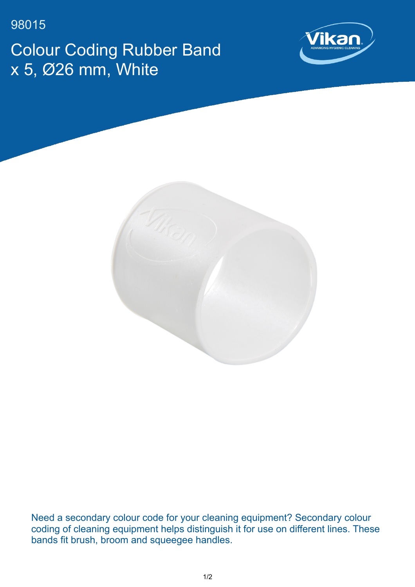98015 Colour Coding Rubber Band x 5, Ø26 mm, White





Need a secondary colour code for your cleaning equipment? Secondary colour coding of cleaning equipment helps distinguish it for use on different lines. These bands fit brush, broom and squeegee handles.